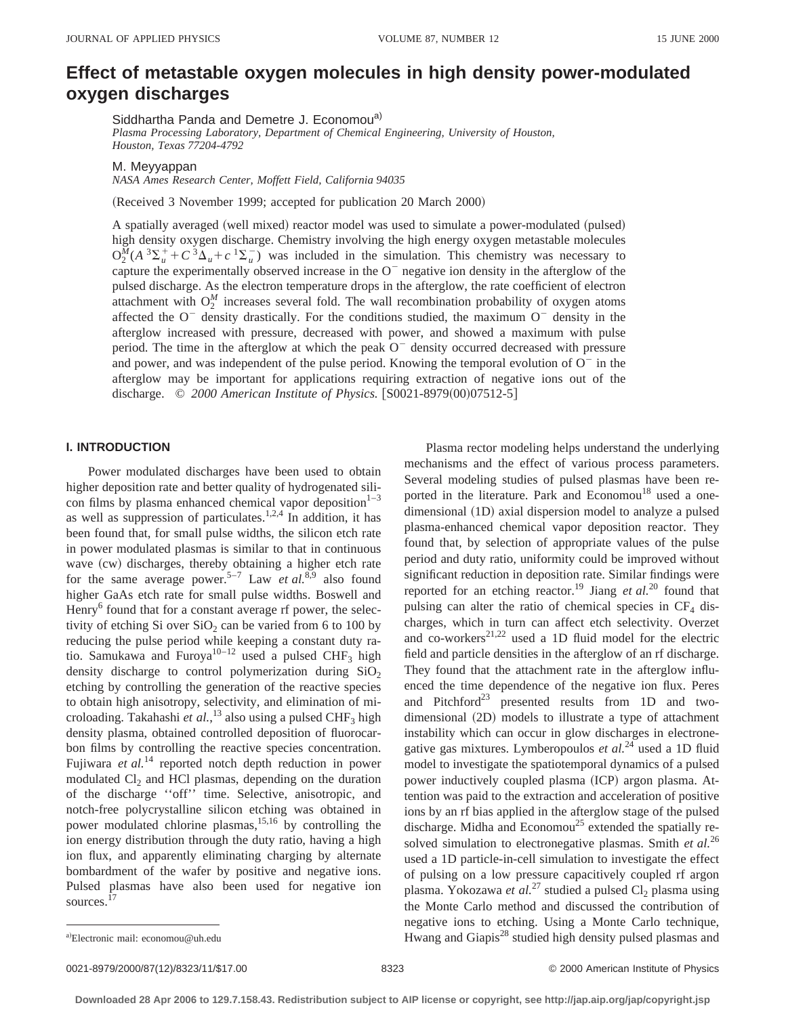# **Effect of metastable oxygen molecules in high density power-modulated oxygen discharges**

Siddhartha Panda and Demetre J. Economou<sup>a)</sup> *Plasma Processing Laboratory, Department of Chemical Engineering, University of Houston, Houston, Texas 77204-4792*

M. Meyyappan

*NASA Ames Research Center, Moffett Field, California 94035*

(Received 3 November 1999; accepted for publication 20 March 2000)

A spatially averaged (well mixed) reactor model was used to simulate a power-modulated (pulsed) high density oxygen discharge. Chemistry involving the high energy oxygen metastable molecules  $O_2^{\overline{M}}(A^3\Sigma_u^+ + C^3\overline{\Delta}_u + c^3\Sigma_u^-)$  was included in the simulation. This chemistry was necessary to capture the experimentally observed increase in the  $O<sup>-</sup>$  negative ion density in the afterglow of the pulsed discharge. As the electron temperature drops in the afterglow, the rate coefficient of electron attachment with  $O_2^M$  increases several fold. The wall recombination probability of oxygen atoms affected the  $O^-$  density drastically. For the conditions studied, the maximum  $O^-$  density in the afterglow increased with pressure, decreased with power, and showed a maximum with pulse period. The time in the afterglow at which the peak  $O<sup>-</sup>$  density occurred decreased with pressure and power, and was independent of the pulse period. Knowing the temporal evolution of  $O<sup>-</sup>$  in the afterglow may be important for applications requiring extraction of negative ions out of the discharge. © 2000 American Institute of Physics. [S0021-8979(00)07512-5]

# **I. INTRODUCTION**

Power modulated discharges have been used to obtain higher deposition rate and better quality of hydrogenated silicon films by plasma enhanced chemical vapor deposition $1-3$ as well as suppression of particulates.<sup>1,2,4</sup> In addition, it has been found that, for small pulse widths, the silicon etch rate in power modulated plasmas is similar to that in continuous wave (cw) discharges, thereby obtaining a higher etch rate for the same average power.<sup>5–7</sup> Law *et al.*<sup>8,9</sup> also found higher GaAs etch rate for small pulse widths. Boswell and Henry<sup>6</sup> found that for a constant average rf power, the selectivity of etching Si over  $SiO<sub>2</sub>$  can be varied from 6 to 100 by reducing the pulse period while keeping a constant duty ratio. Samukawa and Furoya<sup>10–12</sup> used a pulsed CHF<sub>3</sub> high density discharge to control polymerization during  $SiO<sub>2</sub>$ etching by controlling the generation of the reactive species to obtain high anisotropy, selectivity, and elimination of microloading. Takahashi *et al.*,<sup>13</sup> also using a pulsed CHF<sub>3</sub> high density plasma, obtained controlled deposition of fluorocarbon films by controlling the reactive species concentration. Fujiwara *et al.*<sup>14</sup> reported notch depth reduction in power modulated  $Cl<sub>2</sub>$  and HCl plasmas, depending on the duration of the discharge ''off'' time. Selective, anisotropic, and notch-free polycrystalline silicon etching was obtained in power modulated chlorine plasmas,  $15,16$  by controlling the ion energy distribution through the duty ratio, having a high ion flux, and apparently eliminating charging by alternate bombardment of the wafer by positive and negative ions. Pulsed plasmas have also been used for negative ion sources.<sup>17</sup>

Plasma rector modeling helps understand the underlying mechanisms and the effect of various process parameters. Several modeling studies of pulsed plasmas have been reported in the literature. Park and Economou<sup>18</sup> used a onedimensional (1D) axial dispersion model to analyze a pulsed plasma-enhanced chemical vapor deposition reactor. They found that, by selection of appropriate values of the pulse period and duty ratio, uniformity could be improved without significant reduction in deposition rate. Similar findings were reported for an etching reactor.<sup>19</sup> Jiang et al.<sup>20</sup> found that pulsing can alter the ratio of chemical species in  $CF_4$  discharges, which in turn can affect etch selectivity. Overzet and co-workers $^{21,22}$  used a 1D fluid model for the electric field and particle densities in the afterglow of an rf discharge. They found that the attachment rate in the afterglow influenced the time dependence of the negative ion flux. Peres and Pitchford<sup>23</sup> presented results from 1D and twodimensional  $(2D)$  models to illustrate a type of attachment instability which can occur in glow discharges in electronegative gas mixtures. Lymberopoulos *et al.*<sup>24</sup> used a 1D fluid model to investigate the spatiotemporal dynamics of a pulsed power inductively coupled plasma (ICP) argon plasma. Attention was paid to the extraction and acceleration of positive ions by an rf bias applied in the afterglow stage of the pulsed discharge. Midha and Economou<sup>25</sup> extended the spatially resolved simulation to electronegative plasmas. Smith *et al.*<sup>26</sup> used a 1D particle-in-cell simulation to investigate the effect of pulsing on a low pressure capacitively coupled rf argon plasma. Yokozawa *et al.*<sup>27</sup> studied a pulsed Cl<sub>2</sub> plasma using the Monte Carlo method and discussed the contribution of negative ions to etching. Using a Monte Carlo technique, Hwang and Giapis $^{28}$  studied high density pulsed plasmas and

0021-8979/2000/87(12)/8323/11/\$17.00 © 2000 American Institute of Physics 8323

a)Electronic mail: economou@uh.edu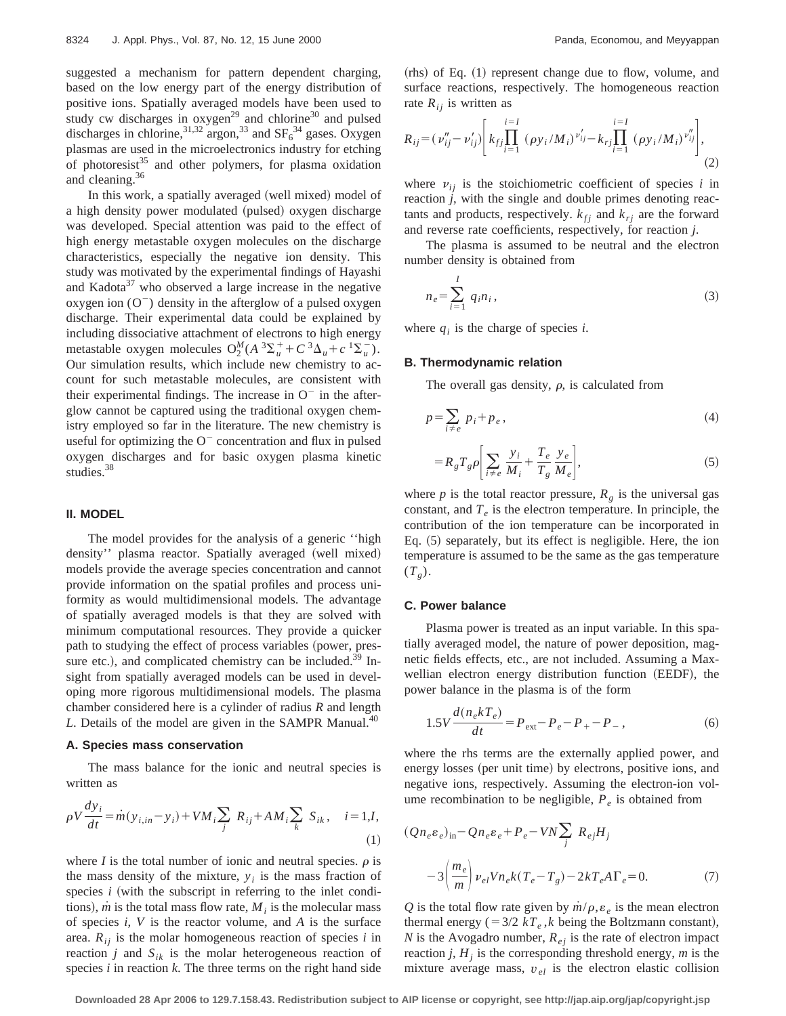suggested a mechanism for pattern dependent charging, based on the low energy part of the energy distribution of positive ions. Spatially averaged models have been used to study cw discharges in oxygen<sup>29</sup> and chlorine<sup>30</sup> and pulsed discharges in chlorine,  $3^{1,32}$  argon,  $3^{3}$  and  $SF_6^{34}$  gases. Oxygen plasmas are used in the microelectronics industry for etching of photoresist $35$  and other polymers, for plasma oxidation and cleaning.36

In this work, a spatially averaged (well mixed) model of a high density power modulated (pulsed) oxygen discharge was developed. Special attention was paid to the effect of high energy metastable oxygen molecules on the discharge characteristics, especially the negative ion density. This study was motivated by the experimental findings of Hayashi and Kadota $37$  who observed a large increase in the negative oxygen ion  $(O^-)$  density in the afterglow of a pulsed oxygen discharge. Their experimental data could be explained by including dissociative attachment of electrons to high energy metastable oxygen molecules  $O_2^M(A^3\Sigma_u^+ + C^3\Delta_u + c^1\Sigma_u^-)$ . Our simulation results, which include new chemistry to account for such metastable molecules, are consistent with their experimental findings. The increase in  $O^-$  in the afterglow cannot be captured using the traditional oxygen chemistry employed so far in the literature. The new chemistry is useful for optimizing the  $O^-$  concentration and flux in pulsed oxygen discharges and for basic oxygen plasma kinetic studies.<sup>38</sup>

# **II. MODEL**

The model provides for the analysis of a generic ''high density" plasma reactor. Spatially averaged (well mixed) models provide the average species concentration and cannot provide information on the spatial profiles and process uniformity as would multidimensional models. The advantage of spatially averaged models is that they are solved with minimum computational resources. They provide a quicker path to studying the effect of process variables (power, pressure etc.), and complicated chemistry can be included.<sup>39</sup> Insight from spatially averaged models can be used in developing more rigorous multidimensional models. The plasma chamber considered here is a cylinder of radius *R* and length *L*. Details of the model are given in the SAMPR Manual.<sup>40</sup>

## **A. Species mass conservation**

The mass balance for the ionic and neutral species is written as

$$
\rho V \frac{dy_i}{dt} = \dot{m}(y_{i,in} - y_i) + VM_i \sum_j R_{ij} + AM_i \sum_k S_{ik}, \quad i = 1, I,
$$
\n(1)

where *I* is the total number of ionic and neutral species.  $\rho$  is the mass density of the mixture,  $y_i$  is the mass fraction of species  $i$  (with the subscript in referring to the inlet conditions),  $\dot{m}$  is the total mass flow rate,  $M_i$  is the molecular mass of species *i*, *V* is the reactor volume, and *A* is the surface area.  $R_{ij}$  is the molar homogeneous reaction of species *i* in reaction *j* and  $S_{ik}$  is the molar heterogeneous reaction of species *i* in reaction *k*. The three terms on the right hand side  $(rhs)$  of Eq.  $(1)$  represent change due to flow, volume, and surface reactions, respectively. The homogeneous reaction rate  $R_{ij}$  is written as

$$
R_{ij} = (\nu_{ij}'' - \nu_{ij}') \left[ k_{fj} \prod_{i=1}^{i=I} (\rho y_i / M_i)^{\nu_{ij}'} - k_{rj} \prod_{i=1}^{i=I} (\rho y_i / M_i)^{\nu_{ij}''} \right],
$$
\n(2)

where  $v_{ij}$  is the stoichiometric coefficient of species *i* in reaction *j*, with the single and double primes denoting reactants and products, respectively.  $k_{fi}$  and  $k_{ri}$  are the forward and reverse rate coefficients, respectively, for reaction *j*.

The plasma is assumed to be neutral and the electron number density is obtained from

$$
n_e = \sum_{i=1}^{I} q_i n_i,
$$
\n(3)

where  $q_i$  is the charge of species *i*.

# **B. Thermodynamic relation**

The overall gas density,  $\rho$ , is calculated from

$$
p = \sum_{i \neq e} p_i + p_e, \tag{4}
$$

$$
=R_g T_g \rho \bigg[\sum_{i \neq e} \frac{y_i}{M_i} + \frac{T_e}{T_g} \frac{y_e}{M_e}\bigg],\tag{5}
$$

where  $p$  is the total reactor pressure,  $R_g$  is the universal gas constant, and  $T_e$  is the electron temperature. In principle, the contribution of the ion temperature can be incorporated in Eq.  $(5)$  separately, but its effect is negligible. Here, the ion temperature is assumed to be the same as the gas temperature  $(T_g)$ .

# **C. Power balance**

Plasma power is treated as an input variable. In this spatially averaged model, the nature of power deposition, magnetic fields effects, etc., are not included. Assuming a Maxwellian electron energy distribution function (EEDF), the power balance in the plasma is of the form

$$
1.5V \frac{d(n_e k T_e)}{dt} = P_{ext} - P_e - P_+ - P_-,\tag{6}
$$

where the rhs terms are the externally applied power, and energy losses (per unit time) by electrons, positive ions, and negative ions, respectively. Assuming the electron-ion volume recombination to be negligible,  $P_e$  is obtained from

$$
(Qn_e \varepsilon_e)_{\text{in}} - Qn_e \varepsilon_e + P_e - VN \sum_j R_{ej} H_j
$$

$$
-3\left(\frac{m_e}{m}\right) \nu_{el} V n_e k (T_e - T_g) - 2kT_e A \Gamma_e = 0. \tag{7}
$$

*Q* is the total flow rate given by  $\dot{m}/\rho$ ,  $\varepsilon_e$  is the mean electron thermal energy ( $=3/2$  *kT<sub>e</sub>*,*k* being the Boltzmann constant), *N* is the Avogadro number,  $R_{ej}$  is the rate of electron impact reaction  $j$ ,  $H<sub>i</sub>$  is the corresponding threshold energy,  $m$  is the mixture average mass,  $v_{el}$  is the electron elastic collision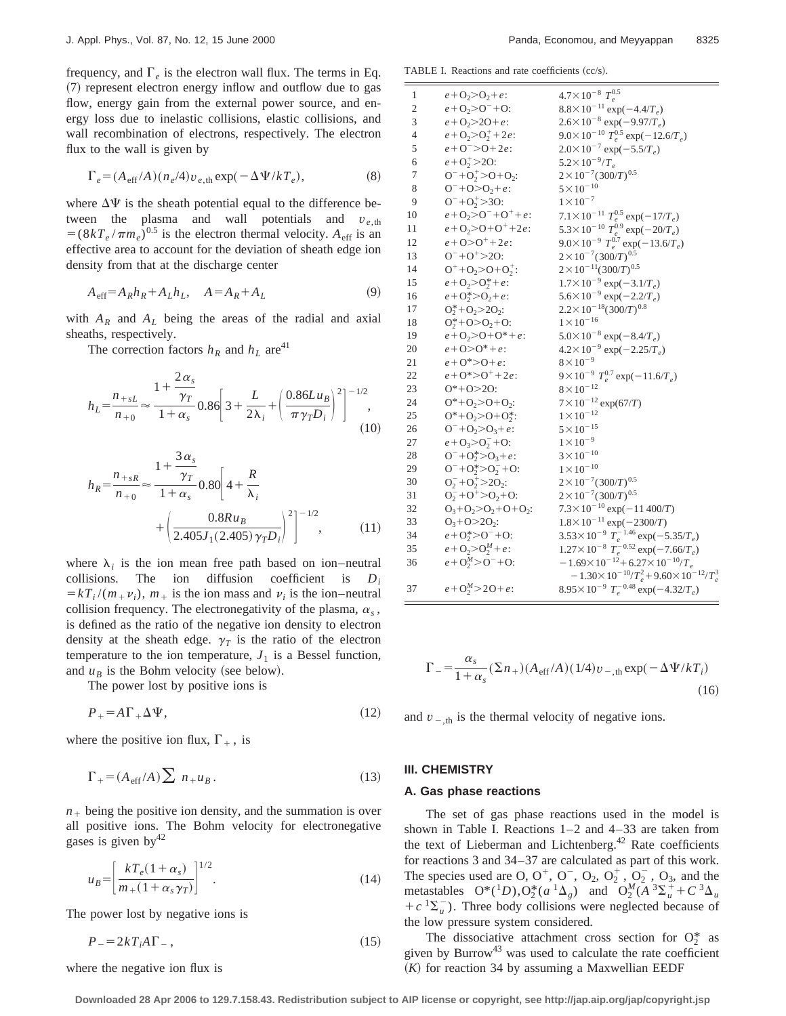frequency, and  $\Gamma_e$  is the electron wall flux. The terms in Eq. ~7! represent electron energy inflow and outflow due to gas flow, energy gain from the external power source, and energy loss due to inelastic collisions, elastic collisions, and wall recombination of electrons, respectively. The electron flux to the wall is given by

$$
\Gamma_e = (A_{\text{eff}}/A)(n_e/4)v_{e,\text{th}} \exp(-\Delta\Psi/kT_e),\tag{8}
$$

where  $\Delta\Psi$  is the sheath potential equal to the difference between the plasma and wall potentials and  $v_{e,th}$  $= (8kT_e/\pi m_e)^{0.5}$  is the electron thermal velocity. *A*<sub>eff</sub> is an effective area to account for the deviation of sheath edge ion density from that at the discharge center

$$
A_{\text{eff}} = A_R h_R + A_L h_L, \quad A = A_R + A_L \tag{9}
$$

with  $A_R$  and  $A_L$  being the areas of the radial and axial sheaths, respectively.

The correction factors  $h_R$  and  $h_L$  are<sup>41</sup>

$$
h_{L} = \frac{n_{+sL}}{n_{+0}} \approx \frac{1 + \frac{2\alpha_{s}}{\gamma_{T}}}{1 + \alpha_{s}} 0.86 \left[ 3 + \frac{L}{2\lambda_{i}} + \left( \frac{0.86Lu_{B}}{\pi \gamma_{T} D_{i}} \right)^{2} \right]^{-1/2},
$$
\n(10)

$$
h_R = \frac{n_{+sR}}{n_{+0}} \approx \frac{1 + \frac{3\alpha_s}{\gamma_T}}{1 + \alpha_s} 0.80 \left[ 4 + \frac{R}{\lambda_i} + \left( \frac{0.8Ru_B}{2.405J_1(2.405)\gamma_T D_i} \right)^2 \right]^{-1/2},
$$
(11)

where  $\lambda_i$  is the ion mean free path based on ion–neutral collisions. The ion diffusion coefficient is *Di*  $= kT_i/(m_+ \nu_i)$ ,  $m_+$  is the ion mass and  $\nu_i$  is the ion–neutral collision frequency. The electronegativity of the plasma,  $\alpha_s$ , is defined as the ratio of the negative ion density to electron density at the sheath edge.  $\gamma_T$  is the ratio of the electron temperature to the ion temperature,  $J_1$  is a Bessel function, and  $u_B$  is the Bohm velocity (see below).

The power lost by positive ions is

$$
P_{+} = A\Gamma_{+}\Delta\Psi,\tag{12}
$$

where the positive ion flux,  $\Gamma_+$ , is

$$
\Gamma_{+} = (A_{\text{eff}}/A) \sum n_{+} u_{B}. \tag{13}
$$

 $n_{+}$  being the positive ion density, and the summation is over all positive ions. The Bohm velocity for electronegative gases is given by  $42$ 

$$
u_B = \left[\frac{kT_e(1+\alpha_s)}{m_+(1+\alpha_s\gamma_T)}\right]^{1/2}.\tag{14}
$$

The power lost by negative ions is

$$
P_{-} = 2kT_i A \Gamma_{-} \,, \tag{15}
$$

where the negative ion flux is

TABLE I. Reactions and rate coefficients  $(cc/s)$ .

| 1              | $e + O_2 > O_2 + e$ :                                  | $4.7\times10^{-8} T_e^{0.5}$                                                                                             |
|----------------|--------------------------------------------------------|--------------------------------------------------------------------------------------------------------------------------|
| $\mathfrak{2}$ | $e + 0, >0^- + 0$ :                                    | $8.8 \times 10^{-11}$ exp(-4.4/T <sub>e</sub> )                                                                          |
| 3              | $e + O_2 > 2O + e$ :                                   | $2.6 \times 10^{-8}$ exp(-9.97/T <sub>e</sub> )                                                                          |
| $\overline{4}$ | $e + O_2 > O_2^+ + 2e$ :                               | $9.0 \times 10^{-10} T_e^{0.5}$ exp(-12.6/T <sub>e</sub> )                                                               |
| 5              | $e + O^{-} > O + 2e$ :                                 | $2.0 \times 10^{-7}$ exp(-5.5/T <sub>e</sub> )                                                                           |
| 6              | $e + O_2^+ > 2O$ :                                     | $5.2 \times 10^{-9} / T_e$                                                                                               |
| $\tau$         | $O^{-}+O_{2}^{+}$ >O+O <sub>2</sub> :                  | $2 \times 10^{-7} (300/T)^{0.5}$                                                                                         |
| $\,$ 8 $\,$    | $O^-+O > O_2 + e$ :                                    | $5 \times 10^{-10}$                                                                                                      |
| 9              | $O^{-}+O_{2}^{+}$ >30:                                 | $1 \times 10^{-7}$                                                                                                       |
| 10             | $e + O_2 > O^- + O^+ + e$ :                            | 7.1×10 <sup>-11</sup> $T_e^{0.5}$ exp(-17/T <sub>e</sub> )<br>5.3×10 <sup>-10</sup> $T_e^{0.9}$ exp(-20/T <sub>e</sub> ) |
| 11             | $e + O_2 > O + O^+ + 2e$ :                             |                                                                                                                          |
| 12             | $e + O > O^+ + 2e$ :                                   | $9.0 \times 10^{-9} T_e^{0.7} \exp(-13.6/T_e)$                                                                           |
| 13             | $O^- + O^+$ > 20:                                      | $2 \times 10^{-7} (300/T)^{0.5}$                                                                                         |
| 14             | $O^+$ +O <sub>2</sub> >O+O <sub>2</sub> <sup>+</sup> : | $2 \times 10^{-11} (300/T)^{0.5}$                                                                                        |
| 15             | $e + O_2 > O_2^* + e$ :                                | $1.7 \times 10^{-9}$ exp(-3.1/T <sub>e</sub> )                                                                           |
| 16             | $e + O_2^* > O_2 + e$ :                                | $5.6 \times 10^{-9}$ exp( $-2.2/T_e$ )                                                                                   |
| 17             | $O_2^*$ +O <sub>2</sub> >2O <sub>2</sub> :             | $2.2 \times 10^{-18} (300/T)^{0.8}$                                                                                      |
| 18             | $O_2^*$ +O>O <sub>2</sub> +O:                          | $1 \times 10^{-16}$                                                                                                      |
| 19             | $e + O_2 > O + O^* + e$ :                              | $5.0 \times 10^{-8}$ exp(-8.4/T <sub>e</sub> )                                                                           |
| 20             | $e + O > O^* + e$ :                                    | $4.2 \times 10^{-9}$ exp(-2.25/T <sub>e</sub> )                                                                          |
| 21             | $e + 0^* > 0 + e$                                      | $8 \times 10^{-9}$                                                                                                       |
| 22             | $e + O^* > O^+ + 2e$ :                                 | $9 \times 10^{-9} T_e^{0.7} \exp(-11.6/T_e)$                                                                             |
| 23             | $0*+0>20$ :                                            | $8 \times 10^{-12}$                                                                                                      |
| 24             | $O^*$ +O <sub>2</sub> >O+O <sub>2</sub> :              | $7 \times 10^{-12}$ exp(67/T)                                                                                            |
| 25             | $O^*$ +O <sub>2</sub> >O+O <sub>2</sub> <sup>*</sup> : | $1 \times 10^{-12}$                                                                                                      |
| 26             | $O^{-}+O_{2}>O_{3}+e$ :                                | $5 \times 10^{-15}$                                                                                                      |
| 27             | $e + O_3 > O_2^- + O$ :                                | $1 \times 10^{-9}$                                                                                                       |
| 28             | $O^-+O_2^*$ > $O_3+e$ :                                | $3 \times 10^{-10}$                                                                                                      |
| 29             | $O^{-}+O_{2}^{*}>O_{2}^{-}+O$ :                        | $1 \times 10^{-10}$                                                                                                      |
| 30             | $O_2^-+O_2^+$ > 2 $O_2$ :                              | $2 \times 10^{-7} (300/T)^{0.5}$                                                                                         |
| 31             | $O_2^-+O^+{>}O_2+O$ :                                  | $2 \times 10^{-7} (300/T)^{0.5}$                                                                                         |
| 32             | $O_3 + O_2 > O_2 + O + O_2$ :                          | $7.3 \times 10^{-10}$ exp( $-11\,400/T$ )                                                                                |
| 33             | $O_3 + O > 2O_2$ :                                     | $1.8 \times 10^{-11}$ exp(-2300/T)                                                                                       |
| 34             | $e + O_2^* > O^- + O$ :                                | $3.53 \times 10^{-9} T_e^{-1.46} \exp(-5.35/T_e)$                                                                        |
| 35             | $e + O_2 > O_2^M + e$ :                                | $1.27 \times 10^{-8} T_e^{-0.52} \exp(-7.66/T_e)$                                                                        |
| 36             | $e + O_2^M > O^- + O$ :                                | $-1.69\times10^{-12}+6.27\times10^{-10}/T_e$                                                                             |
|                |                                                        | $-1.30\times10^{-10}/T_e^2+9.60\times10^{-12}/T_e^3$                                                                     |
| 37             | $e + O_2^M > 2O + e$                                   | $8.95 \times 10^{-9} T_e^{-0.48} \exp(-4.32/T_e)$                                                                        |
|                |                                                        |                                                                                                                          |

$$
\Gamma_{-} = \frac{\alpha_{s}}{1 + \alpha_{s}} (\Sigma n_{+}) (A_{\text{eff}} / A) (1/4) v_{-, \text{th}} \exp(-\Delta \Psi / kT_{i})
$$
\n(16)

and  $v_{\text{-th}}$  is the thermal velocity of negative ions.

# **III. CHEMISTRY**

#### **A. Gas phase reactions**

The set of gas phase reactions used in the model is shown in Table I. Reactions 1–2 and 4–33 are taken from the text of Lieberman and Lichtenberg.<sup>42</sup> Rate coefficients for reactions 3 and 34–37 are calculated as part of this work. The species used are O,  $O^+$ ,  $O^-$ ,  $O_2$ ,  $O_2^+$ ,  $O_2^-$ ,  $O_3$ , and the metastables  $O^*(1D), O_2^*(a^{-1}\Delta_g)$  and  $O_2^M(A^{-3}\Sigma_u^+ + C^{-3}\Delta_u)$  $+c^{-1}\Sigma_{\mu}^{-}$ ). Three body collisions were neglected because of the low pressure system considered.

The dissociative attachment cross section for  $O_2^*$  as given by Burrow<sup>43</sup> was used to calculate the rate coefficient  $(K)$  for reaction 34 by assuming a Maxwellian EEDF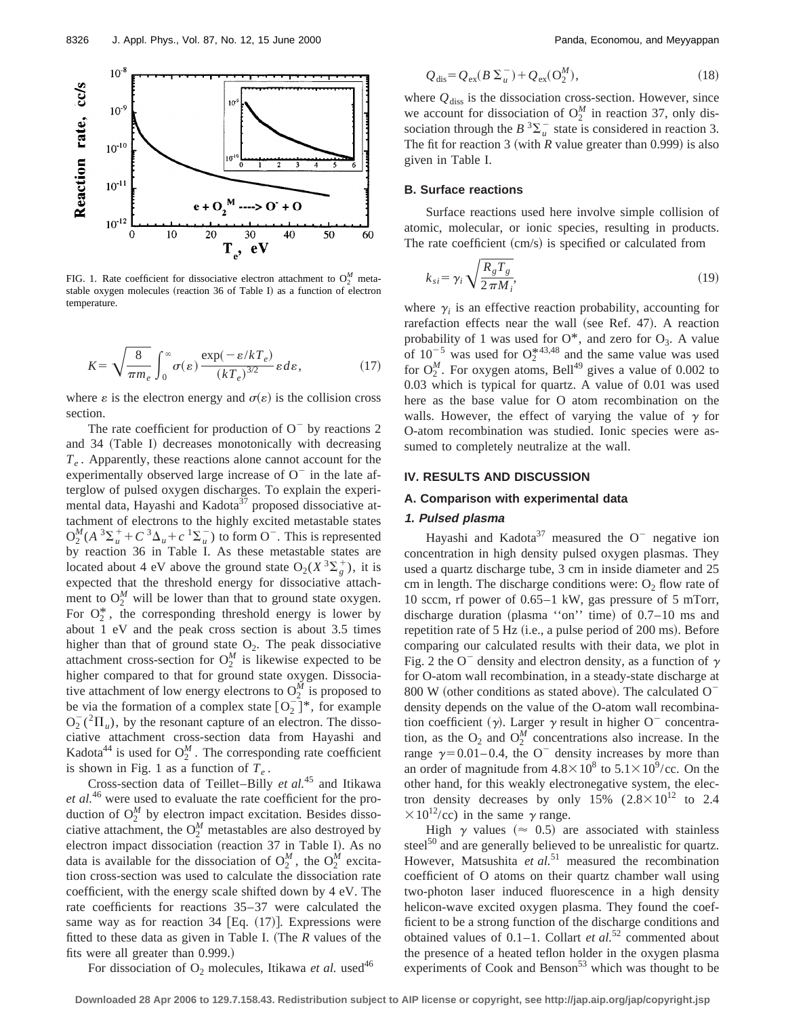

FIG. 1. Rate coefficient for dissociative electron attachment to  $O_2^M$  metastable oxygen molecules (reaction 36 of Table I) as a function of electron temperature.

$$
K = \sqrt{\frac{8}{\pi m_e}} \int_0^\infty \sigma(\varepsilon) \frac{\exp(-\varepsilon/kT_e)}{(kT_e)^{3/2}} \varepsilon d\varepsilon, \qquad (17)
$$

where  $\varepsilon$  is the electron energy and  $\sigma(\varepsilon)$  is the collision cross section.

The rate coefficient for production of  $O^-$  by reactions 2 and 34 (Table I) decreases monotonically with decreasing  $T_e$ . Apparently, these reactions alone cannot account for the experimentally observed large increase of  $O^-$  in the late afterglow of pulsed oxygen discharges. To explain the experimental data, Hayashi and Kadota<sup>37</sup> proposed dissociative attachment of electrons to the highly excited metastable states  $O_2^M(A^3\Sigma_u^+ + C^3\Delta_u + c^1\Sigma_u^-)$  to form O<sup>-</sup>. This is represented by reaction 36 in Table I. As these metastable states are located about 4 eV above the ground state  $O_2(X^3\Sigma_g^+)$ , it is expected that the threshold energy for dissociative attachment to  $O_2^M$  will be lower than that to ground state oxygen. For  $O_2^*$ , the corresponding threshold energy is lower by about 1 eV and the peak cross section is about 3.5 times higher than that of ground state  $O_2$ . The peak dissociative attachment cross-section for  $O_2^M$  is likewise expected to be higher compared to that for ground state oxygen. Dissociative attachment of low energy electrons to  $O_2^M$  is proposed to be via the formation of a complex state  $[O_2^-]^*$ , for example  $O_2^-(1^2\Pi_u)$ , by the resonant capture of an electron. The dissociative attachment cross-section data from Hayashi and Kadota<sup>44</sup> is used for  $O_2^M$ . The corresponding rate coefficient is shown in Fig. 1 as a function of  $T_e$ .

Cross-section data of Teillet–Billy *et al.*<sup>45</sup> and Itikawa *et al.*<sup>46</sup> were used to evaluate the rate coefficient for the production of  $O_2^M$  by electron impact excitation. Besides dissociative attachment, the  $O_2^M$  metastables are also destroyed by electron impact dissociation (reaction 37 in Table I). As no data is available for the dissociation of  $O_2^M$ , the  $O_2^M$  excitation cross-section was used to calculate the dissociation rate coefficient, with the energy scale shifted down by 4 eV. The rate coefficients for reactions 35–37 were calculated the same way as for reaction 34  $[Eq. (17)]$ . Expressions were fitted to these data as given in Table I. (The  *values of the* fits were all greater than 0.999.)

$$
Q_{\text{dis}} = Q_{\text{ex}}(B \Sigma_u^-) + Q_{\text{ex}}(O_2^M), \tag{18}
$$

where  $Q_{\text{diss}}$  is the dissociation cross-section. However, since we account for dissociation of  $O_2^M$  in reaction 37, only dissociation through the  $B^3 \Sigma_u^-$  state is considered in reaction 3. The fit for reaction 3 (with *R* value greater than 0.999) is also given in Table I.

# **B. Surface reactions**

Surface reactions used here involve simple collision of atomic, molecular, or ionic species, resulting in products. The rate coefficient  $\text{(cm/s)}$  is specified or calculated from

$$
k_{si} = \gamma_i \sqrt{\frac{R_g T_g}{2 \pi M_i}},\tag{19}
$$

where  $\gamma_i$  is an effective reaction probability, accounting for rarefaction effects near the wall (see Ref. 47). A reaction probability of 1 was used for  $O^*$ , and zero for  $O_3$ . A value of  $10^{-5}$  was used for  $O_2^{*43,48}$  and the same value was used for  $O_2^M$ . For oxygen atoms, Bell<sup>49</sup> gives a value of 0.002 to 0.03 which is typical for quartz. A value of 0.01 was used here as the base value for O atom recombination on the walls. However, the effect of varying the value of  $\gamma$  for O-atom recombination was studied. Ionic species were assumed to completely neutralize at the wall.

#### **IV. RESULTS AND DISCUSSION**

# **A. Comparison with experimental data**

# **1. Pulsed plasma**

Hayashi and Kadota<sup>37</sup> measured the  $O^-$  negative ion concentration in high density pulsed oxygen plasmas. They used a quartz discharge tube, 3 cm in inside diameter and 25 cm in length. The discharge conditions were:  $O_2$  flow rate of 10 sccm, rf power of 0.65–1 kW, gas pressure of 5 mTorr, discharge duration (plasma "on" time) of  $0.7-10$  ms and repetition rate of 5 Hz (i.e., a pulse period of 200 ms). Before comparing our calculated results with their data, we plot in Fig. 2 the O<sup>-</sup> density and electron density, as a function of  $\gamma$ for O-atom wall recombination, in a steady-state discharge at 800 W (other conditions as stated above). The calculated  $O$ density depends on the value of the O-atom wall recombination coefficient ( $\gamma$ ). Larger  $\gamma$  result in higher O<sup>-</sup> concentration, as the  $O_2$  and  $O_2^M$  concentrations also increase. In the range  $\gamma = 0.01 - 0.4$ , the O<sup>-</sup> density increases by more than an order of magnitude from  $4.8\times10^8$  to  $5.1\times10^9$ /cc. On the other hand, for this weakly electronegative system, the electron density decreases by only 15%  $(2.8 \times 10^{12}$  to 2.4  $\times 10^{12}/\text{cc}$  in the same  $\gamma$  range.

High  $\gamma$  values ( $\approx$  0.5) are associated with stainless steel<sup>50</sup> and are generally believed to be unrealistic for quartz. However, Matsushita *et al.*<sup>51</sup> measured the recombination coefficient of O atoms on their quartz chamber wall using two-photon laser induced fluorescence in a high density helicon-wave excited oxygen plasma. They found the coefficient to be a strong function of the discharge conditions and obtained values of 0.1–1. Collart *et al.*<sup>52</sup> commented about the presence of a heated teflon holder in the oxygen plasma experiments of Cook and Benson<sup>53</sup> which was thought to be

For dissociation of  $O_2$  molecules, Itikawa *et al.* used<sup>46</sup>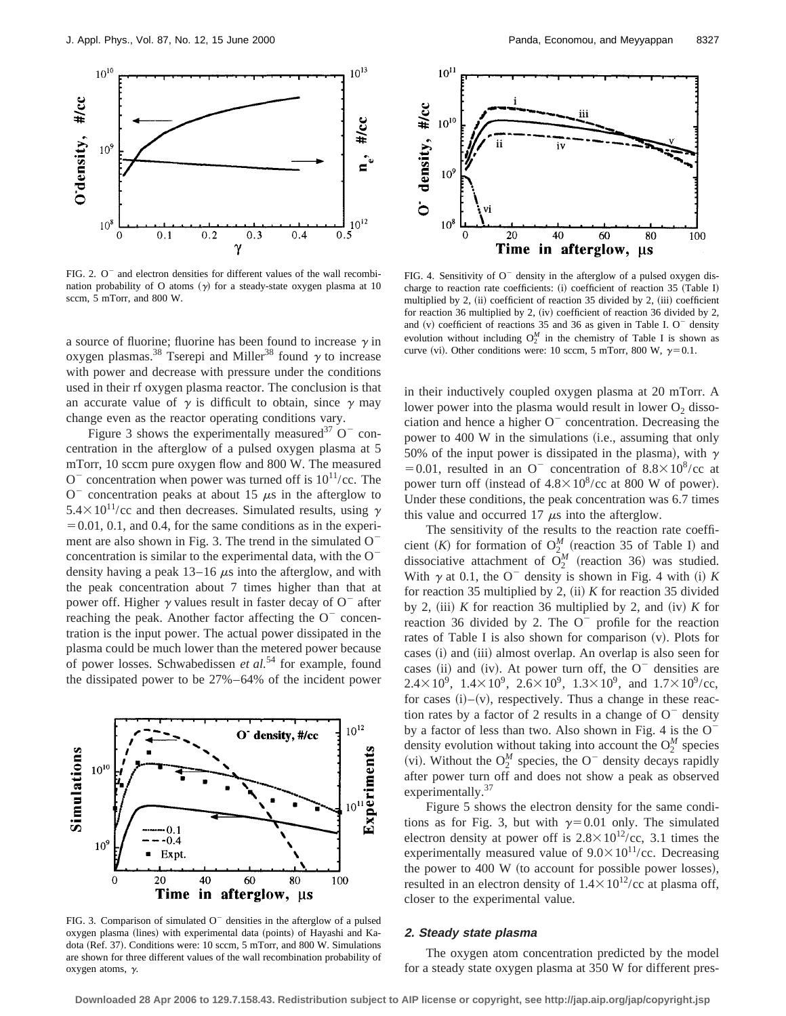

FIG. 2.  $O^-$  and electron densities for different values of the wall recombination probability of O atoms  $(y)$  for a steady-state oxygen plasma at 10 sccm, 5 mTorr, and 800 W.

a source of fluorine; fluorine has been found to increase  $\gamma$  in oxygen plasmas.<sup>38</sup> Tserepi and Miller<sup>38</sup> found  $\gamma$  to increase with power and decrease with pressure under the conditions used in their rf oxygen plasma reactor. The conclusion is that an accurate value of  $\gamma$  is difficult to obtain, since  $\gamma$  may change even as the reactor operating conditions vary.

Figure 3 shows the experimentally measured<sup>37</sup> O<sup>-</sup> concentration in the afterglow of a pulsed oxygen plasma at 5 mTorr, 10 sccm pure oxygen flow and 800 W. The measured  $O^-$  concentration when power was turned off is  $10^{11}/\text{cc}$ . The  $O^-$  concentration peaks at about 15  $\mu$ s in the afterglow to  $5.4\times10^{11}/\text{cc}$  and then decreases. Simulated results, using  $\gamma$  $=0.01, 0.1,$  and 0.4, for the same conditions as in the experiment are also shown in Fig. 3. The trend in the simulated  $O^$ concentration is similar to the experimental data, with the  $O^$ density having a peak  $13-16 \mu s$  into the afterglow, and with the peak concentration about 7 times higher than that at power off. Higher  $\gamma$  values result in faster decay of O<sup>-</sup> after reaching the peak. Another factor affecting the  $O<sup>-</sup>$  concentration is the input power. The actual power dissipated in the plasma could be much lower than the metered power because of power losses. Schwabedissen *et al.*<sup>54</sup> for example, found the dissipated power to be 27%–64% of the incident power



FIG. 3. Comparison of simulated  $O^-$  densities in the afterglow of a pulsed oxygen plasma (lines) with experimental data (points) of Hayashi and Kadota (Ref. 37). Conditions were: 10 sccm, 5 mTorr, and 800 W. Simulations are shown for three different values of the wall recombination probability of oxygen atoms,  $\gamma$ .



FIG. 4. Sensitivity of  $O^-$  density in the afterglow of a pulsed oxygen discharge to reaction rate coefficients: (i) coefficient of reaction 35 (Table I) multiplied by 2, (ii) coefficient of reaction 35 divided by 2, (iii) coefficient for reaction 36 multiplied by 2,  $(iv)$  coefficient of reaction 36 divided by 2, and  $(v)$  coefficient of reactions 35 and 36 as given in Table I. O<sup>-</sup> density evolution without including  $O_2^M$  in the chemistry of Table I is shown as curve (vi). Other conditions were: 10 sccm, 5 mTorr, 800 W,  $\gamma = 0.1$ .

in their inductively coupled oxygen plasma at 20 mTorr. A lower power into the plasma would result in lower  $O_2$  dissociation and hence a higher  $O<sup>-</sup>$  concentration. Decreasing the power to 400 W in the simulations (i.e., assuming that only 50% of the input power is dissipated in the plasma), with  $\gamma$ =0.01, resulted in an O<sup>-</sup> concentration of  $8.8\times10^{8}/c$ c at power turn off (instead of  $4.8\times10^8$ /cc at 800 W of power). Under these conditions, the peak concentration was 6.7 times this value and occurred 17  $\mu$ s into the afterglow.

The sensitivity of the results to the reaction rate coefficient (*K*) for formation of  $O_2^M$  (reaction 35 of Table I) and dissociative attachment of  $\tilde{O}_2^M$  (reaction 36) was studied. With  $\gamma$  at 0.1, the O<sup>-</sup> density is shown in Fig. 4 with (i) *K* for reaction 35 multiplied by 2,  $(ii)$  *K* for reaction 35 divided by 2, (iii) *K* for reaction 36 multiplied by 2, and (iv) *K* for reaction 36 divided by 2. The  $O^-$  profile for the reaction rates of Table I is also shown for comparison  $(v)$ . Plots for cases (i) and (iii) almost overlap. An overlap is also seen for cases (ii) and (iv). At power turn off, the  $O^-$  densities are 2.4×10<sup>9</sup>, 1.4×10<sup>9</sup>, 2.6×10<sup>9</sup>, 1.3×10<sup>9</sup>, and 1.7×10<sup>9</sup>/cc, for cases  $(i)$ – $(v)$ , respectively. Thus a change in these reaction rates by a factor of 2 results in a change of  $O^-$  density by a factor of less than two. Also shown in Fig. 4 is the  $O^$ density evolution without taking into account the  $O_2^M$  species (vi). Without the  $O_2^M$  species, the O<sup>-</sup> density decays rapidly after power turn off and does not show a peak as observed experimentally.<sup>37</sup>

Figure 5 shows the electron density for the same conditions as for Fig. 3, but with  $\gamma=0.01$  only. The simulated electron density at power off is  $2.8 \times 10^{12}$ /cc, 3.1 times the experimentally measured value of  $9.0 \times 10^{11}$ /cc. Decreasing the power to  $400~W$  (to account for possible power losses), resulted in an electron density of  $1.4 \times 10^{12}$ /cc at plasma off, closer to the experimental value.

# **2. Steady state plasma**

The oxygen atom concentration predicted by the model for a steady state oxygen plasma at 350 W for different pres-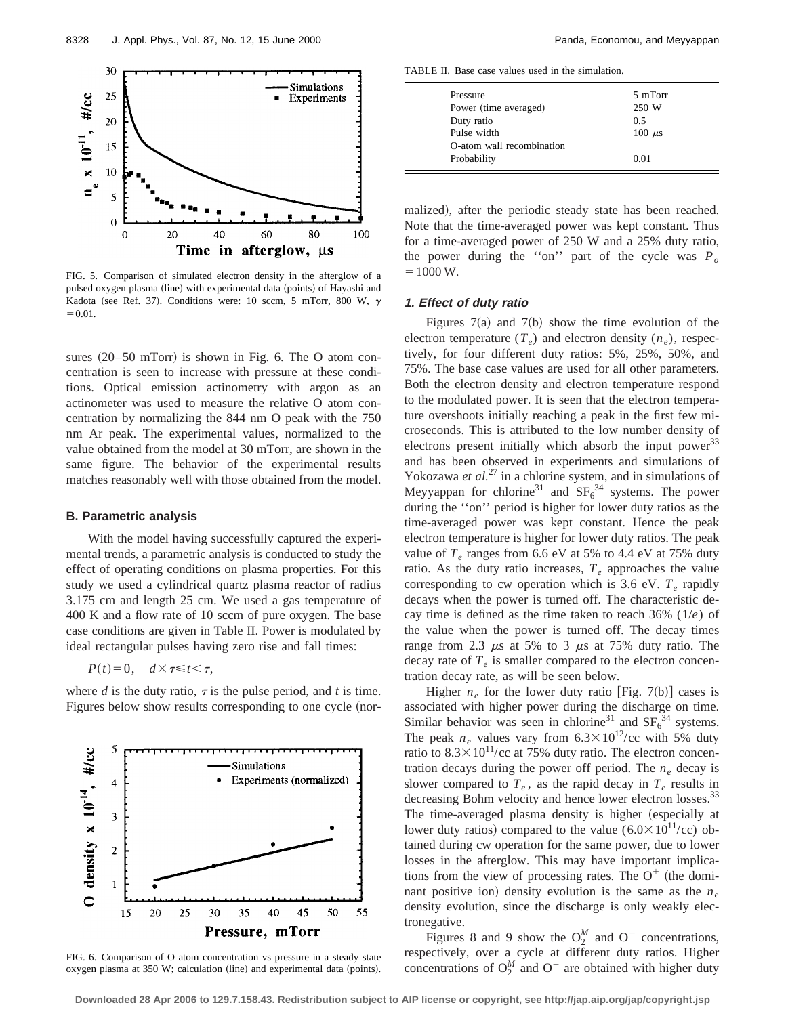

FIG. 5. Comparison of simulated electron density in the afterglow of a pulsed oxygen plasma (line) with experimental data (points) of Hayashi and Kadota (see Ref. 37). Conditions were: 10 sccm, 5 mTorr, 800 W,  $\gamma$  $=0.01$ .

sures  $(20–50$  mTorr) is shown in Fig. 6. The O atom concentration is seen to increase with pressure at these conditions. Optical emission actinometry with argon as an actinometer was used to measure the relative O atom concentration by normalizing the 844 nm O peak with the 750 nm Ar peak. The experimental values, normalized to the value obtained from the model at 30 mTorr, are shown in the same figure. The behavior of the experimental results matches reasonably well with those obtained from the model.

#### **B. Parametric analysis**

With the model having successfully captured the experimental trends, a parametric analysis is conducted to study the effect of operating conditions on plasma properties. For this study we used a cylindrical quartz plasma reactor of radius 3.175 cm and length 25 cm. We used a gas temperature of 400 K and a flow rate of 10 sccm of pure oxygen. The base case conditions are given in Table II. Power is modulated by ideal rectangular pulses having zero rise and fall times:

$$
P(t)=0, \quad d \times \tau \leq t < \tau,
$$

where  $d$  is the duty ratio,  $\tau$  is the pulse period, and  $t$  is time. Figures below show results corresponding to one cycle (nor-



FIG. 6. Comparison of O atom concentration vs pressure in a steady state oxygen plasma at  $350$  W; calculation (line) and experimental data (points).

TABLE II. Base case values used in the simulation.

| Pressure                  | 5 mTorr     |  |
|---------------------------|-------------|--|
| Power (time averaged)     | 250 W       |  |
| Duty ratio                | 0.5         |  |
| Pulse width               | $100 \mu s$ |  |
| O-atom wall recombination |             |  |
| Probability               | 0.01        |  |

malized), after the periodic steady state has been reached. Note that the time-averaged power was kept constant. Thus for a time-averaged power of 250 W and a 25% duty ratio, the power during the "on" part of the cycle was  $P_o$  $=1000 W.$ 

# **1. Effect of duty ratio**

Figures  $7(a)$  and  $7(b)$  show the time evolution of the electron temperature  $(T_e)$  and electron density  $(n_e)$ , respectively, for four different duty ratios: 5%, 25%, 50%, and 75%. The base case values are used for all other parameters. Both the electron density and electron temperature respond to the modulated power. It is seen that the electron temperature overshoots initially reaching a peak in the first few microseconds. This is attributed to the low number density of electrons present initially which absorb the input power $33$ and has been observed in experiments and simulations of Yokozawa *et al.*<sup>27</sup> in a chlorine system, and in simulations of Meyyappan for chlorine<sup>31</sup> and  $SF_6^{34}$  systems. The power during the ''on'' period is higher for lower duty ratios as the time-averaged power was kept constant. Hence the peak electron temperature is higher for lower duty ratios. The peak value of  $T_e$  ranges from 6.6 eV at 5% to 4.4 eV at 75% duty ratio. As the duty ratio increases,  $T_e$  approaches the value corresponding to cw operation which is 3.6 eV.  $T_e$  rapidly decays when the power is turned off. The characteristic decay time is defined as the time taken to reach 36% (1/*e*) of the value when the power is turned off. The decay times range from 2.3  $\mu$ s at 5% to 3  $\mu$ s at 75% duty ratio. The decay rate of  $T_e$  is smaller compared to the electron concentration decay rate, as will be seen below.

Higher  $n_e$  for the lower duty ratio [Fig. 7(b)] cases is associated with higher power during the discharge on time. Similar behavior was seen in chlorine<sup>31</sup> and  $SF_6^{34}$  systems. The peak  $n_e$  values vary from  $6.3 \times 10^{12}$ /cc with 5% duty ratio to  $8.3 \times 10^{11}$ /cc at 75% duty ratio. The electron concentration decays during the power off period. The  $n_e$  decay is slower compared to  $T_e$ , as the rapid decay in  $T_e$  results in decreasing Bohm velocity and hence lower electron losses.<sup>33</sup> The time-averaged plasma density is higher (especially at lower duty ratios) compared to the value  $(6.0 \times 10^{11}/\text{cc})$  obtained during cw operation for the same power, due to lower losses in the afterglow. This may have important implications from the view of processing rates. The  $O^+$  (the dominant positive ion) density evolution is the same as the  $n_e$ density evolution, since the discharge is only weakly electronegative.

Figures 8 and 9 show the  $O_2^M$  and  $O^-$  concentrations, respectively, over a cycle at different duty ratios. Higher concentrations of  $O_2^M$  and  $O^-$  are obtained with higher duty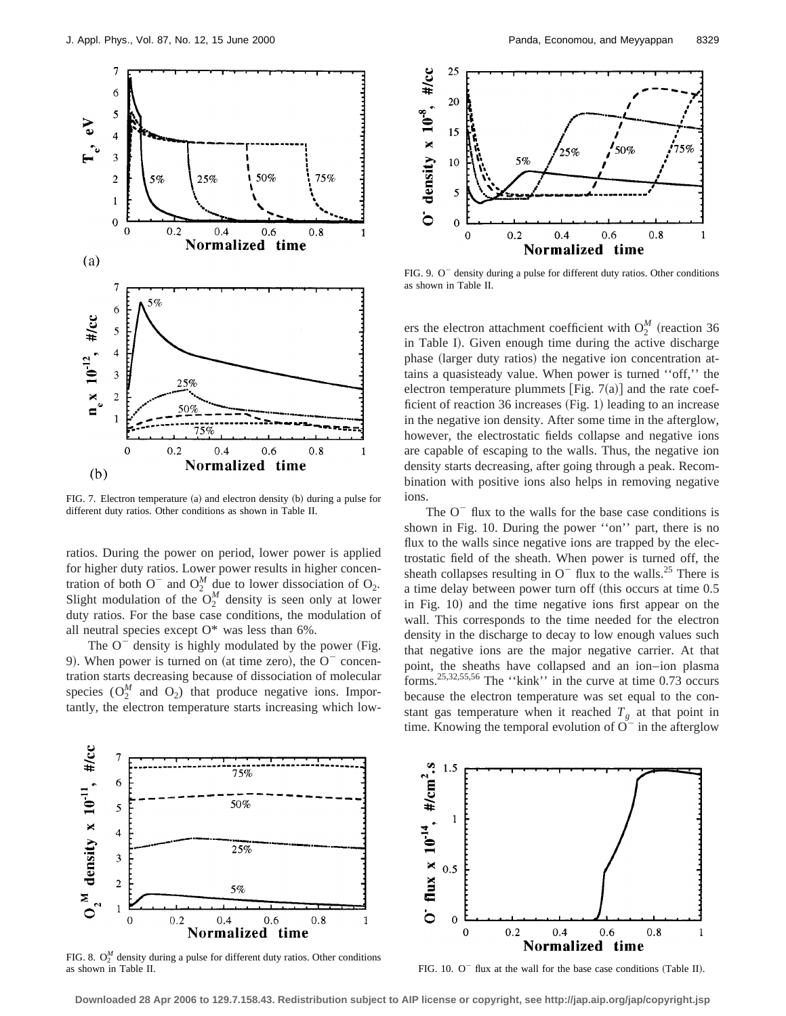

FIG. 7. Electron temperature (a) and electron density (b) during a pulse for different duty ratios. Other conditions as shown in Table II.

ratios. During the power on period, lower power is applied for higher duty ratios. Lower power results in higher concentration of both  $O^{-}$  and  $O_{2}^{M}$  due to lower dissociation of  $O_{2}$ . Slight modulation of the  $O_2^M$  density is seen only at lower duty ratios. For the base case conditions, the modulation of all neutral species except  $O^*$  was less than 6%.

The  $O^-$  density is highly modulated by the power (Fig. 9). When power is turned on (at time zero), the  $O<sup>-</sup>$  concentration starts decreasing because of dissociation of molecular species  $(O_2^M$  and  $O_2)$  that produce negative ions. Importantly, the electron temperature starts increasing which low-



FIG. 9.  $O<sup>-</sup>$  density during a pulse for different duty ratios. Other conditions as shown in Table II.

ers the electron attachment coefficient with  $O_2^M$  (reaction 36 in Table I). Given enough time during the active discharge phase (larger duty ratios) the negative ion concentration attains a quasisteady value. When power is turned ''off,'' the electron temperature plummets [Fig.  $7(a)$ ] and the rate coefficient of reaction 36 increases  $(Fig. 1)$  leading to an increase in the negative ion density. After some time in the afterglow, however, the electrostatic fields collapse and negative ions are capable of escaping to the walls. Thus, the negative ion density starts decreasing, after going through a peak. Recombination with positive ions also helps in removing negative ions.

The  $O^-$  flux to the walls for the base case conditions is shown in Fig. 10. During the power ''on'' part, there is no flux to the walls since negative ions are trapped by the electrostatic field of the sheath. When power is turned off, the sheath collapses resulting in  $O^-$  flux to the walls.<sup>25</sup> There is a time delay between power turn off (this occurs at time 0.5) in Fig. 10) and the time negative ions first appear on the wall. This corresponds to the time needed for the electron density in the discharge to decay to low enough values such that negative ions are the major negative carrier. At that point, the sheaths have collapsed and an ion–ion plasma forms.25,32,55,56 The ''kink'' in the curve at time 0.73 occurs because the electron temperature was set equal to the constant gas temperature when it reached  $T_g$  at that point in time. Knowing the temporal evolution of  $O<sup>-</sup>$  in the afterglow



FIG. 8.  $O_2^M$  density during a pulse for different duty ratios. Other conditions as shown in Table II.

 $4, \#/cm^2$ .  $1.5$ 1 flux  $x 10^{-14}$ ,  $0.5$ ò  $\mathbf 0$  $0.2$  $\mathbf 0$  $0.4$  $0.6$  $0.8$ Normalized time

FIG. 10.  $O^-$  flux at the wall for the base case conditions (Table II).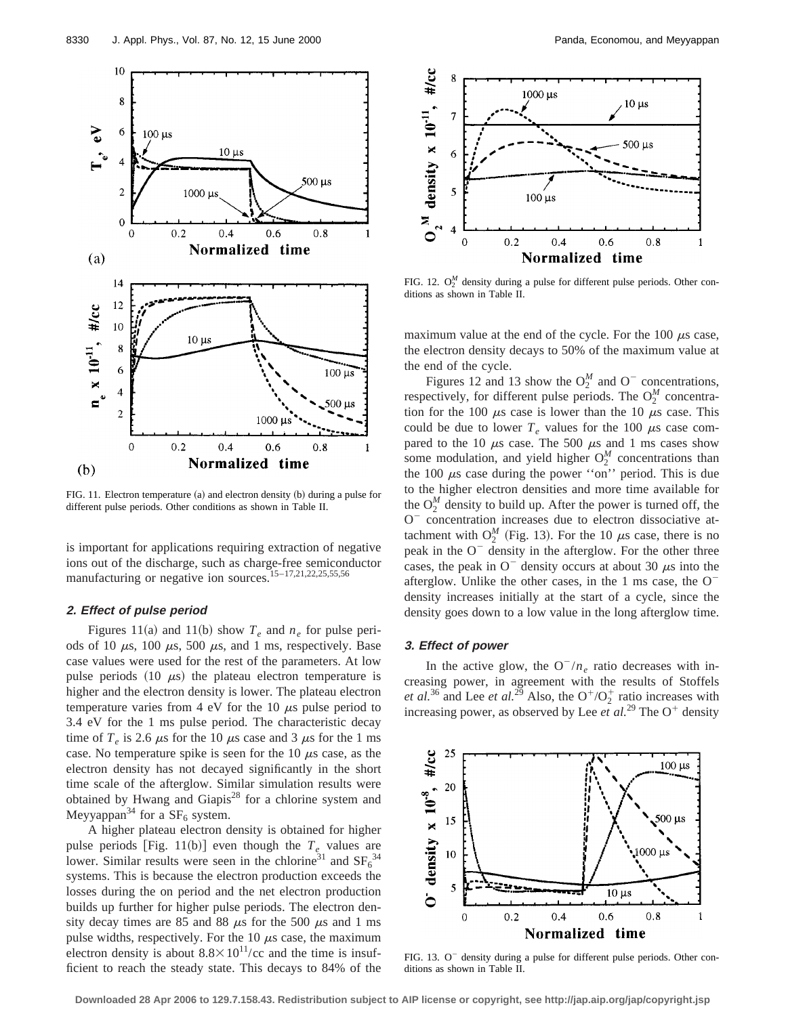

FIG. 11. Electron temperature (a) and electron density (b) during a pulse for different pulse periods. Other conditions as shown in Table II.

is important for applications requiring extraction of negative ions out of the discharge, such as charge-free semiconductor manufacturing or negative ion sources.15–17,21,22,25,55,56

# **2. Effect of pulse period**

Figures 11(a) and 11(b) show  $T_e$  and  $n_e$  for pulse periods of 10  $\mu$ s, 100  $\mu$ s, 500  $\mu$ s, and 1 ms, respectively. Base case values were used for the rest of the parameters. At low pulse periods  $(10 \mu s)$  the plateau electron temperature is higher and the electron density is lower. The plateau electron temperature varies from 4 eV for the 10  $\mu$ s pulse period to 3.4 eV for the 1 ms pulse period. The characteristic decay time of  $T_e$  is 2.6  $\mu$ s for the 10  $\mu$ s case and 3  $\mu$ s for the 1 ms case. No temperature spike is seen for the 10  $\mu$ s case, as the electron density has not decayed significantly in the short time scale of the afterglow. Similar simulation results were obtained by Hwang and Giapis<sup>28</sup> for a chlorine system and Meyyappan<sup>34</sup> for a  $SF<sub>6</sub>$  system.

A higher plateau electron density is obtained for higher pulse periods [Fig. 11(b)] even though the  $T_e$  values are lower. Similar results were seen in the chlorine<sup>31</sup> and  $SF_6^{34}$ systems. This is because the electron production exceeds the losses during the on period and the net electron production builds up further for higher pulse periods. The electron density decay times are 85 and 88  $\mu$ s for the 500  $\mu$ s and 1 ms pulse widths, respectively. For the  $10 \mu s$  case, the maximum electron density is about  $8.8 \times 10^{11}$ /cc and the time is insufficient to reach the steady state. This decays to 84% of the



FIG. 12.  $O_2^M$  density during a pulse for different pulse periods. Other conditions as shown in Table II.

maximum value at the end of the cycle. For the 100  $\mu$ s case, the electron density decays to 50% of the maximum value at the end of the cycle.

Figures 12 and 13 show the  $O_2^M$  and  $O^-$  concentrations, respectively, for different pulse periods. The  $O_2^M$  concentration for the 100  $\mu$ s case is lower than the 10  $\mu$ s case. This could be due to lower  $T_e$  values for the 100  $\mu$ s case compared to the 10  $\mu$ s case. The 500  $\mu$ s and 1 ms cases show some modulation, and yield higher  $O_2^M$  concentrations than the 100  $\mu$ s case during the power "on" period. This is due to the higher electron densities and more time available for the  $O_2^M$  density to build up. After the power is turned off, the O<sup>-</sup> concentration increases due to electron dissociative attachment with  $O_2^M$  (Fig. 13). For the 10  $\mu$ s case, there is no peak in the  $O<sup>-</sup>$  density in the afterglow. For the other three cases, the peak in  $O^-$  density occurs at about 30  $\mu$ s into the afterglow. Unlike the other cases, in the  $1 \text{ ms case}$ , the  $0^{-}$ density increases initially at the start of a cycle, since the density goes down to a low value in the long afterglow time.

# **3. Effect of power**

In the active glow, the  $O^{-}/n_e$  ratio decreases with increasing power, in agreement with the results of Stoffels *et al.*<sup>36</sup> and Lee *et al.*<sup>29</sup> Also, the  $O^+/O_2^+$  ratio increases with increasing power, as observed by Lee  $et$   $al.^{29}$  The O<sup>+</sup> density



FIG. 13.  $O<sup>-</sup>$  density during a pulse for different pulse periods. Other conditions as shown in Table II.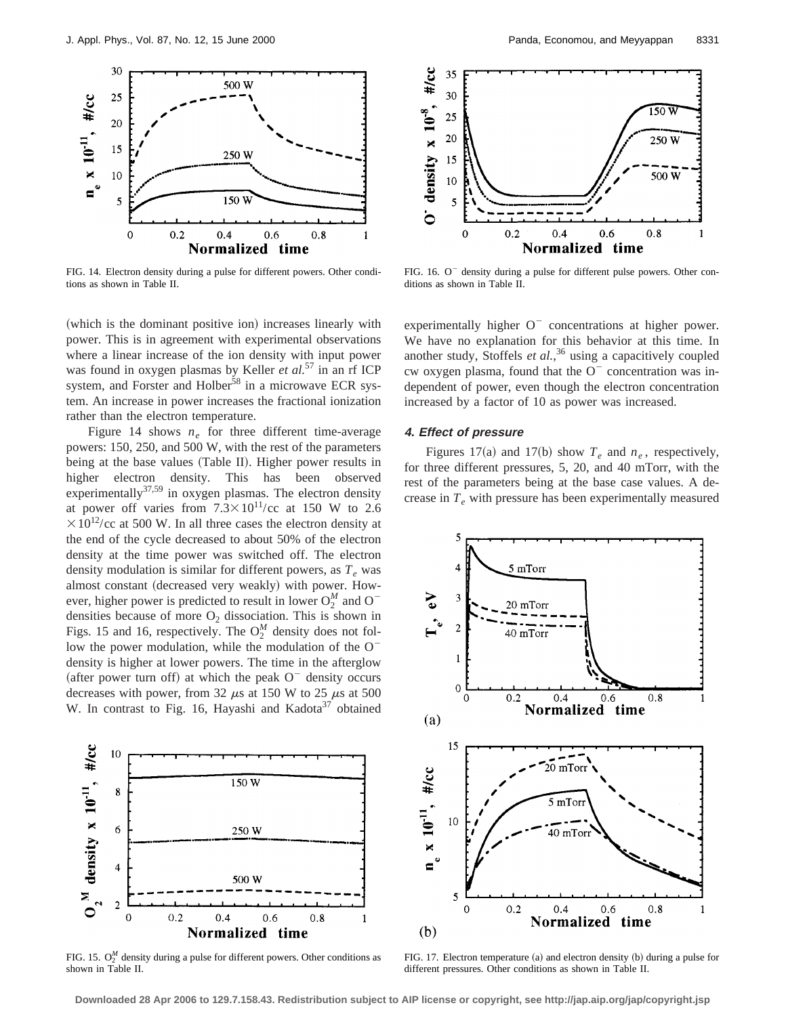

FIG. 14. Electron density during a pulse for different powers. Other conditions as shown in Table II.



FIG. 16. O<sup>-</sup> density during a pulse for different pulse powers. Other conditions as shown in Table II.

(which is the dominant positive ion) increases linearly with power. This is in agreement with experimental observations where a linear increase of the ion density with input power was found in oxygen plasmas by Keller *et al.*<sup>57</sup> in an rf ICP system, and Forster and Holber<sup>58</sup> in a microwave ECR system. An increase in power increases the fractional ionization rather than the electron temperature.

Figure 14 shows  $n_e$  for three different time-average powers: 150, 250, and 500 W, with the rest of the parameters being at the base values (Table II). Higher power results in higher electron density. This has been observed  $e^{z}$  experimentally<sup>37,59</sup> in oxygen plasmas. The electron density at power off varies from  $7.3 \times 10^{11}$ /cc at 150 W to 2.6  $\times 10^{12}$ /cc at 500 W. In all three cases the electron density at the end of the cycle decreased to about 50% of the electron density at the time power was switched off. The electron density modulation is similar for different powers, as  $T_e$  was almost constant (decreased very weakly) with power. However, higher power is predicted to result in lower  $O_2^M$  and  $O^$ densities because of more  $O_2$  dissociation. This is shown in Figs. 15 and 16, respectively. The  $O_2^M$  density does not follow the power modulation, while the modulation of the  $O$ density is higher at lower powers. The time in the afterglow (after power turn off) at which the peak  $O^-$  density occurs decreases with power, from 32  $\mu$ s at 150 W to 25  $\mu$ s at 500 W. In contrast to Fig. 16, Hayashi and Kadota<sup>37</sup> obtained



FIG. 15.  $O_2^M$  density during a pulse for different powers. Other conditions as shown in Table II.

experimentally higher  $O^-$  concentrations at higher power. We have no explanation for this behavior at this time. In another study, Stoffels *et al.*, <sup>36</sup> using a capacitively coupled cw oxygen plasma, found that the  $O<sup>-</sup>$  concentration was independent of power, even though the electron concentration increased by a factor of 10 as power was increased.

#### **4. Effect of pressure**

Figures 17(a) and 17(b) show  $T_e$  and  $n_e$ , respectively, for three different pressures, 5, 20, and 40 mTorr, with the rest of the parameters being at the base case values. A decrease in  $T_e$  with pressure has been experimentally measured



FIG. 17. Electron temperature  $(a)$  and electron density  $(b)$  during a pulse for different pressures. Other conditions as shown in Table II.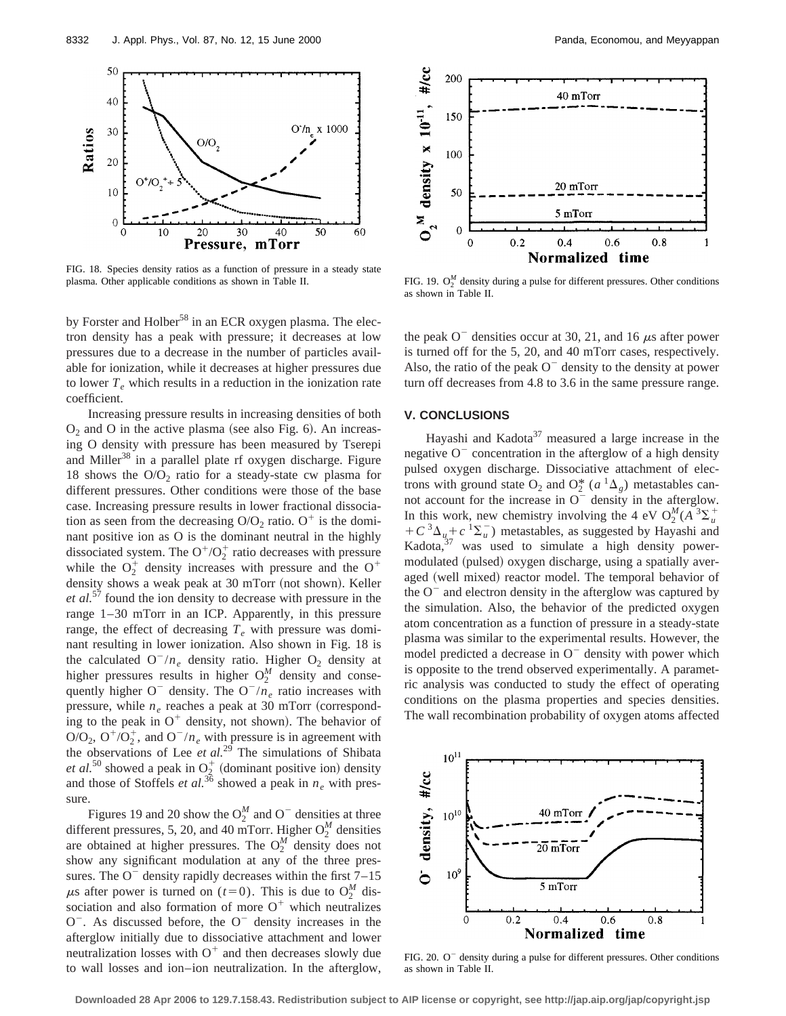

FIG. 18. Species density ratios as a function of pressure in a steady state plasma. Other applicable conditions as shown in Table II.

by Forster and Holber<sup>58</sup> in an ECR oxygen plasma. The electron density has a peak with pressure; it decreases at low pressures due to a decrease in the number of particles available for ionization, while it decreases at higher pressures due to lower  $T_e$  which results in a reduction in the ionization rate coefficient.

Increasing pressure results in increasing densities of both  $O_2$  and O in the active plasma (see also Fig. 6). An increasing O density with pressure has been measured by Tserepi and Miller<sup>38</sup> in a parallel plate rf oxygen discharge. Figure 18 shows the  $O/O<sub>2</sub>$  ratio for a steady-state cw plasma for different pressures. Other conditions were those of the base case. Increasing pressure results in lower fractional dissociation as seen from the decreasing  $O/O<sub>2</sub>$  ratio. O<sup>+</sup> is the dominant positive ion as O is the dominant neutral in the highly dissociated system. The  $O^+/O_2^+$  ratio decreases with pressure while the  $O_2^+$  density increases with pressure and the  $O^+$ density shows a weak peak at 30 mTorr (not shown). Keller *et al.*<sup>57</sup> found the ion density to decrease with pressure in the range 1–30 mTorr in an ICP. Apparently, in this pressure range, the effect of decreasing  $T_e$  with pressure was dominant resulting in lower ionization. Also shown in Fig. 18 is the calculated  $O^{-}/n_e$  density ratio. Higher  $O_2$  density at higher pressures results in higher  $O_2^M$  density and consequently higher  $O^-$  density. The  $O^-/n_e$  ratio increases with pressure, while  $n_e$  reaches a peak at 30 mTorr (corresponding to the peak in  $O^+$  density, not shown). The behavior of  $O/O_2$ ,  $O^+/O_2^+$ , and  $O^-/n_e$  with pressure is in agreement with the observations of Lee *et al.*<sup>29</sup> The simulations of Shibata *et al.*<sup>50</sup> showed a peak in  $O_2^+$  (dominant positive ion) density and those of Stoffels *et al.*<sup>36</sup> showed a peak in  $n_e$  with pressure.

Figures 19 and 20 show the  $O_2^M$  and O<sup>-</sup> densities at three different pressures, 5, 20, and 40 mTorr. Higher  $O_2^M$  densities are obtained at higher pressures. The  $O_2^M$  density does not show any significant modulation at any of the three pressures. The  $O^-$  density rapidly decreases within the first  $7-15$  $\mu$ s after power is turned on (*t*=0). This is due to O<sup>M</sup><sub>2</sub> dissociation and also formation of more  $O^+$  which neutralizes  $O^-$ . As discussed before, the  $O^-$  density increases in the afterglow initially due to dissociative attachment and lower neutralization losses with  $O^+$  and then decreases slowly due to wall losses and ion–ion neutralization. In the afterglow,



FIG. 19.  $O_2^M$  density during a pulse for different pressures. Other conditions as shown in Table II.

the peak  $O^-$  densities occur at 30, 21, and 16  $\mu$ s after power is turned off for the 5, 20, and 40 mTorr cases, respectively. Also, the ratio of the peak  $O^-$  density to the density at power turn off decreases from 4.8 to 3.6 in the same pressure range.

# **V. CONCLUSIONS**

Hayashi and Kadota $37$  measured a large increase in the negative  $O<sup>-</sup>$  concentration in the afterglow of a high density pulsed oxygen discharge. Dissociative attachment of electrons with ground state O<sub>2</sub> and O<sup>\*</sup><sub>2</sub><sup>\*</sup> ( $a$ <sup>1</sup> $\Delta$ <sub>g</sub>) metastables cannot account for the increase in  $O^-$  density in the afterglow. In this work, new chemistry involving the 4 eV  $O_2^M(A^3 \Sigma_u^+$  $+C^{3}\Delta_{u}+c^{1}\Sigma_{u}$  metastables, as suggested by Hayashi and Kadota, $37$  was used to simulate a high density powermodulated (pulsed) oxygen discharge, using a spatially averaged (well mixed) reactor model. The temporal behavior of the  $O^-$  and electron density in the afterglow was captured by the simulation. Also, the behavior of the predicted oxygen atom concentration as a function of pressure in a steady-state plasma was similar to the experimental results. However, the model predicted a decrease in  $O^-$  density with power which is opposite to the trend observed experimentally. A parametric analysis was conducted to study the effect of operating conditions on the plasma properties and species densities. The wall recombination probability of oxygen atoms affected



FIG.  $20.$  O<sup>-</sup> density during a pulse for different pressures. Other conditions as shown in Table II.